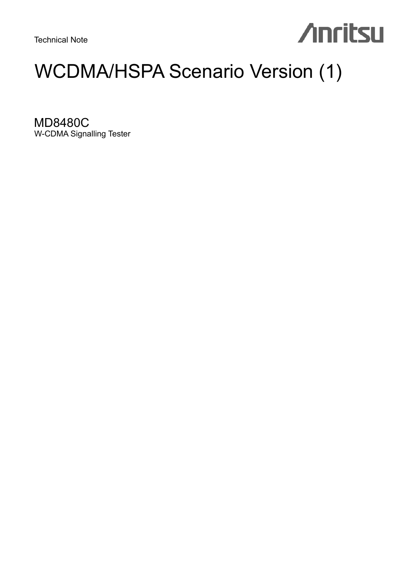Technical Note

# **Anritsu**

# WCDMA/HSPA Scenario Version (1)

MD8480C W-CDMA Signalling Tester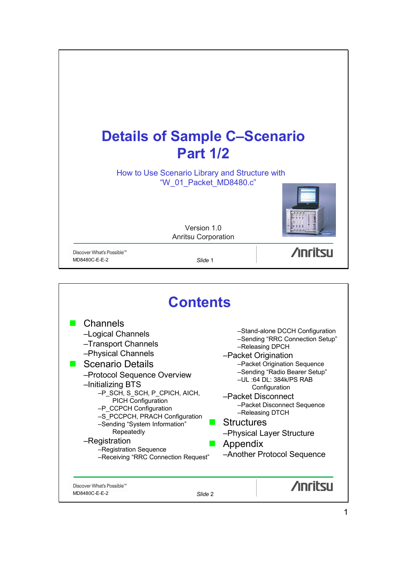

|                                                                                                                                                                                                                                                                                                                                                                                                                      | <b>Contents</b>                                                                                                                                                                                                                                                                                                                                                                                 |  |  |  |  |
|----------------------------------------------------------------------------------------------------------------------------------------------------------------------------------------------------------------------------------------------------------------------------------------------------------------------------------------------------------------------------------------------------------------------|-------------------------------------------------------------------------------------------------------------------------------------------------------------------------------------------------------------------------------------------------------------------------------------------------------------------------------------------------------------------------------------------------|--|--|--|--|
| Channels<br>-Logical Channels<br>-Transport Channels<br>-Physical Channels<br><b>Scenario Details</b><br>-Protocol Sequence Overview<br>-Initializing BTS<br>-P_SCH, S_SCH, P_CPICH, AICH,<br><b>PICH Configuration</b><br>-P_CCPCH Configuration<br>-S PCCPCH, PRACH Configuration<br>-Sending "System Information"<br>Repeatedly<br>-Registration<br>-Registration Sequence<br>-Receiving "RRC Connection Request" | -Stand-alone DCCH Configuration<br>-Sending "RRC Connection Setup"<br>-Releasing DPCH<br>-Packet Origination<br>-Packet Origination Sequence<br>-Sending "Radio Bearer Setup"<br>$-UL$ :64 DL: 384k/PS RAB<br>Configuration<br>-Packet Disconnect<br>-Packet Disconnect Sequence<br>-Releasing DTCH<br><b>Structures</b><br>-Physical Layer Structure<br>Appendix<br>-Another Protocol Sequence |  |  |  |  |
| Discover What's Possible™<br>MD8480C-E-E-2<br>Slide 2                                                                                                                                                                                                                                                                                                                                                                | <b>Anritsu</b>                                                                                                                                                                                                                                                                                                                                                                                  |  |  |  |  |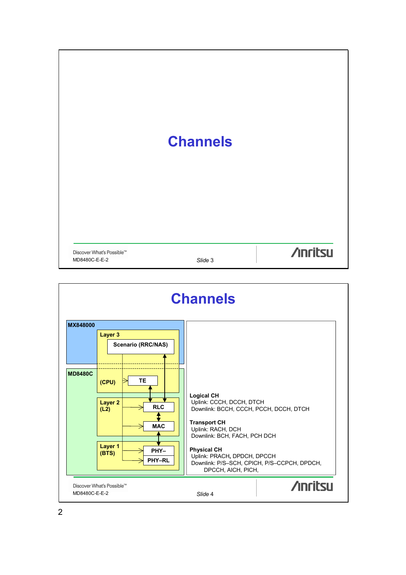|                                            | <b>Channels</b> |                 |
|--------------------------------------------|-----------------|-----------------|
| Discover What's Possible™<br>MD8480C-E-E-2 | Slide 3         | <b>/inritsu</b> |

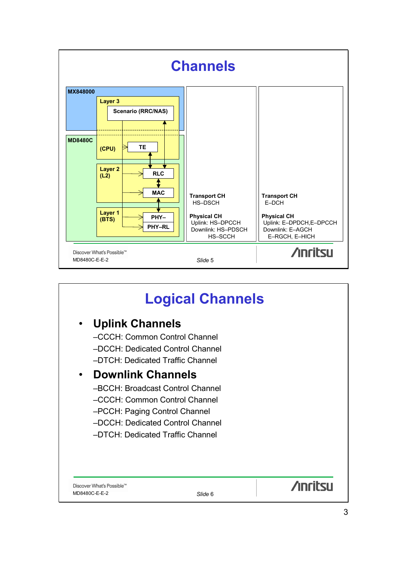

## **Logical Channels**

### • **Uplink Channels**

–CCCH: Common Control Channel –DCCH: Dedicated Control Channel –DTCH: Dedicated Traffic Channel

### • **Downlink Channels**

- –BCCH: Broadcast Control Channel
- –CCCH: Common Control Channel
- –PCCH: Paging Control Channel
- –DCCH: Dedicated Control Channel
- –DTCH: Dedicated Traffic Channel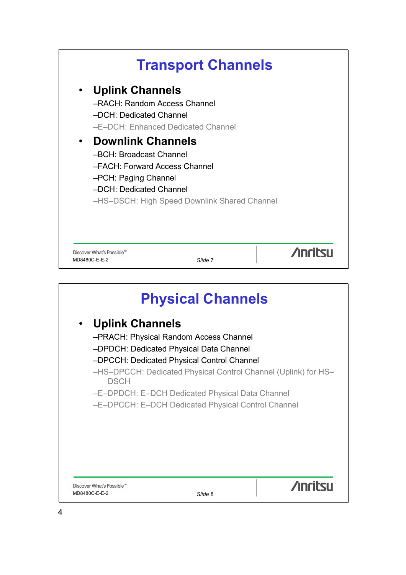

|                                            | <b>Physical Channels</b>                                                                                                                                                                                                                                                                                   |                |
|--------------------------------------------|------------------------------------------------------------------------------------------------------------------------------------------------------------------------------------------------------------------------------------------------------------------------------------------------------------|----------------|
| <b>Uplink Channels</b><br><b>DSCH</b>      | -PRACH: Physical Random Access Channel<br>-DPDCH: Dedicated Physical Data Channel<br>-DPCCH: Dedicated Physical Control Channel<br>-HS-DPCCH: Dedicated Physical Control Channel (Uplink) for HS-<br>-E-DPDCH: E-DCH Dedicated Physical Data Channel<br>-E-DPCCH: E-DCH Dedicated Physical Control Channel |                |
| Discover What's Possible™<br>MD8480C-E-E-2 | Slide 8                                                                                                                                                                                                                                                                                                    | <b>Anritsu</b> |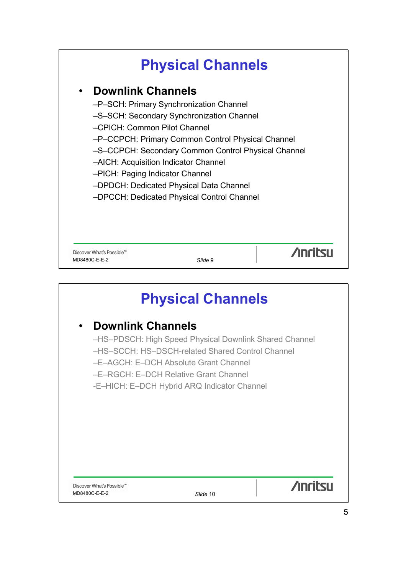## **Physical Channels**

### • **Downlink Channels**

- –P–SCH: Primary Synchronization Channel
- –S–SCH: Secondary Synchronization Channel

–CPICH: Common Pilot Channel

–P–CCPCH: Primary Common Control Physical Channel

- –S–CCPCH: Secondary Common Control Physical Channel
- –AICH: Acquisition Indicator Channel
- –PICH: Paging Indicator Channel
- –DPDCH: Dedicated Physical Data Channel
- –DPCCH: Dedicated Physical Control Channel

Discover What's Possible™ MD8480C-E-E-2 *Slide* 9

**/inritsu** 

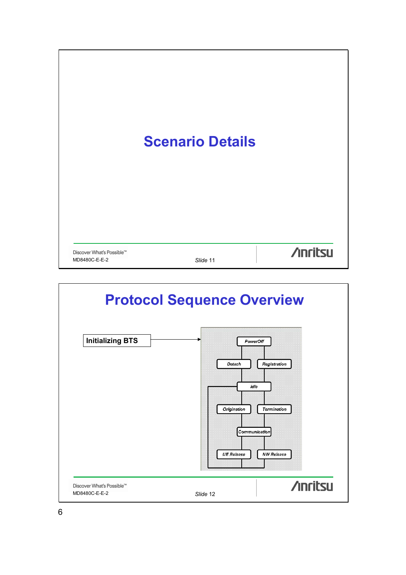

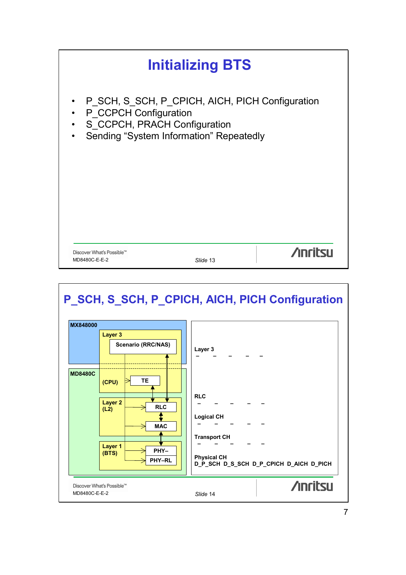

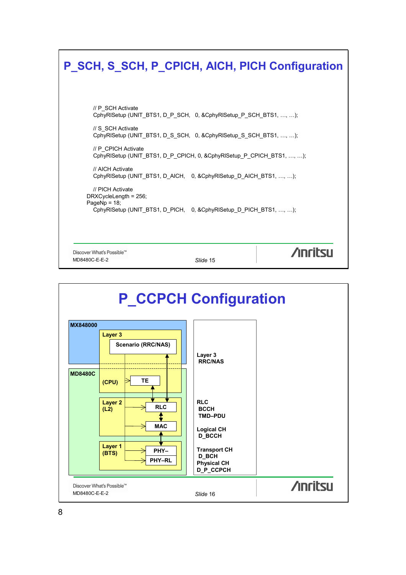| P SCH, S SCH, P_CPICH, AICH, PICH Configuration                                                                                                                                                                                                                                                                                                                                                                                           |          |                |
|-------------------------------------------------------------------------------------------------------------------------------------------------------------------------------------------------------------------------------------------------------------------------------------------------------------------------------------------------------------------------------------------------------------------------------------------|----------|----------------|
| // P SCH Activate<br>CphyRISetup (UNIT_BTS1, D_P_SCH, 0, &CphyRISetup_P_SCH_BTS1, , );<br>// S SCH Activate<br>CphyRISetup (UNIT_BTS1, D_S_SCH, 0, &CphyRISetup_S_SCH_BTS1, , );<br>// P CPICH Activate<br>CphyRISetup (UNIT_BTS1, D_P_CPICH, 0, &CphyRISetup_P_CPICH_BTS1, , );<br>// AICH Activate<br>CphyRISetup (UNIT_BTS1, D_AICH, 0, &CphyRISetup_D_AICH_BTS1, , );<br>// PICH Activate<br>DRXCycleLength = 256;<br>PageNp = $18$ ; |          |                |
| CphyRISetup (UNIT_BTS1, D_PICH, 0, &CphyRISetup_D_PICH_BTS1, , );<br>Discover What's Possible™<br>MD8480C-E-E-2                                                                                                                                                                                                                                                                                                                           | Slide 15 | <b>Anritsu</b> |

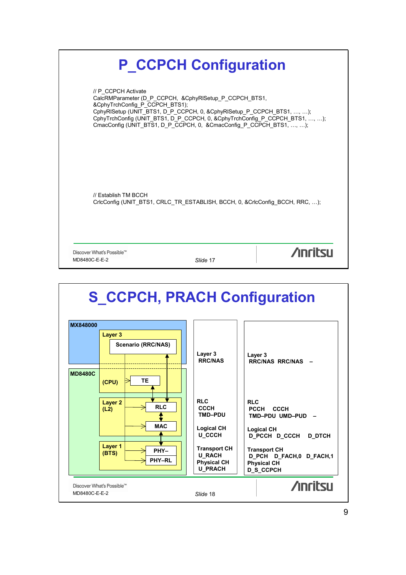

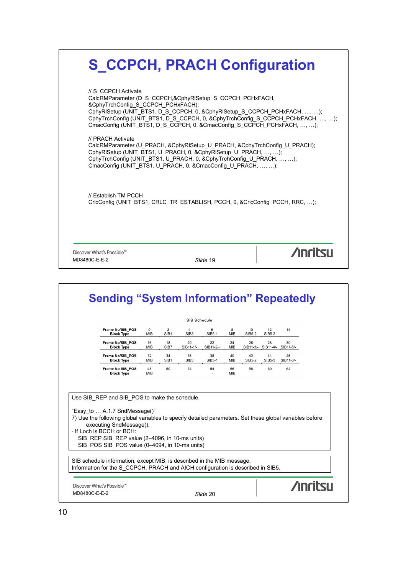|                                                                                                                                                                                                                                                                                                          | CphyRISetup (UNIT_BTS1, D_S_CCPCH, 0, &CphyRISetup_S_CCPCH_PCHxFACH, , );<br>CphyTrchConfig (UNIT_BTS1, D_S_CCPCH, 0, &CphyTrchConfig_S_CCPCH_PCHxFACH, , ); |
|----------------------------------------------------------------------------------------------------------------------------------------------------------------------------------------------------------------------------------------------------------------------------------------------------------|--------------------------------------------------------------------------------------------------------------------------------------------------------------|
| CmacConfig (UNIT_BTS1, D_S_CCPCH, 0, &CmacConfig_S_CCPCH_PCHxFACH, , );                                                                                                                                                                                                                                  |                                                                                                                                                              |
| // PRACH Activate<br>CalcRMParameter (U PRACH, &CphyRISetup U PRACH, &CphyTrchConfiq U PRACH);<br>CphyRISetup (UNIT_BTS1, U_PRACH, 0, &CphyRISetup_U_PRACH, , );<br>CphyTrchConfig (UNIT_BTS1, U_PRACH, 0, &CphyTrchConfig_U_PRACH, , );<br>CmacConfig (UNIT_BTS1, U_PRACH, 0, &CmacConfig_U_PRACH, , ); |                                                                                                                                                              |
| // Establish TM PCCH<br>CricConfig (UNIT BTS1, CRLC TR ESTABLISH, PCCH, 0, &CricConfig PCCH, RRC, );                                                                                                                                                                                                     |                                                                                                                                                              |

|                                                                                                                                                          |                       |                                    | SIB Schedule           |                 |                  |              |              |                                     |  |
|----------------------------------------------------------------------------------------------------------------------------------------------------------|-----------------------|------------------------------------|------------------------|-----------------|------------------|--------------|--------------|-------------------------------------|--|
| Frame No/SIB POS<br><b>Block Type</b>                                                                                                                    | $\circ$<br><b>MIB</b> | $\overline{2}$<br>SIB <sub>1</sub> | 4<br>SIB <sub>3</sub>  | 6<br>SIB5-1     | 8<br>MIB         | 10<br>SIB5-2 | 12<br>SIB5-3 | 14                                  |  |
| Frame No/SIB POS<br><b>Block Type</b>                                                                                                                    | 16<br>MIB             | 18<br>SIB7                         | 20<br>SIB11-1/-        | 22<br>SIB11-2/- | 24<br>MIB        | 26           | 28           | 30<br>SIB11-3/- SIB11-4/- SIB11-5/- |  |
| Frame No/SIB POS<br><b>Block Type</b>                                                                                                                    | 32<br><b>MIB</b>      | 34<br>SIB <sub>1</sub>             | 36<br>SIB <sub>3</sub> | 38<br>SIB5-1    | 40<br><b>MIB</b> | 42<br>SIB5-2 | 44<br>SIB5-3 | 46<br>SIB11-6/-                     |  |
| Frame No SIB POS<br><b>Block Type</b>                                                                                                                    | 48<br>MIB             | 50                                 | 52                     | 54              | 56<br><b>MIB</b> | 58           | 60           | 62                                  |  |
| "Easy to  A.1.7 SndMessage()"<br>7) Use the following global variables to specify detailed parameters. Set these global variables before                 |                       |                                    |                        |                 |                  |              |              |                                     |  |
| executing SndMessage().<br>· If Loch is BCCH or BCH:<br>SIB REP SIB REP value (2-4096, in 10-ms units)<br>SIB POS SIB POS value (0-4094, in 10-ms units) |                       |                                    |                        |                 |                  |              |              |                                     |  |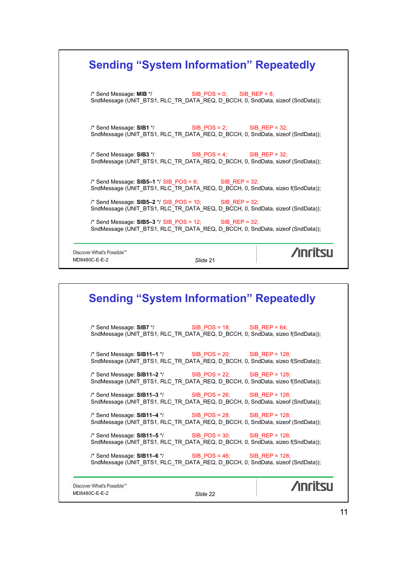| <b>Sending "System Information" Repeatedly</b>                                                                                                   |          |                |
|--------------------------------------------------------------------------------------------------------------------------------------------------|----------|----------------|
| /* Send Message: $MIB * /$ SIB_POS = 0; SIB_REP = 8;<br>SndMessage (UNIT_BTS1, RLC_TR_DATA_REQ, D_BCCH, 0, SndData, sizeof (SndData));           |          |                |
| $\prime$ * Send Message: SIB1 */ SIB_POS = 2; SIB_REP = 32;<br>SndMessage (UNIT_BTS1, RLC_TR_DATA_REQ, D_BCCH, 0, SndData, sizeof (SndData));    |          |                |
| $\prime$ * Send Message: SIB3 */ SIB_POS = 4; SIB_REP = 32;<br>SndMessage (UNIT_BTS1, RLC_TR_DATA_REQ, D_BCCH, 0, SndData, sizeof (SndData));    |          |                |
| /* Send Message: $SIB5-1$ */ $SIB_POS = 6$ ; $SIB_REP = 32$ ;<br>SndMessage (UNIT_BTS1, RLC_TR_DATA_REQ, D_BCCH, 0, SndData, sizeo f(SndData));  |          |                |
| /* Send Message: $SIB5-2$ */ $SIB_POS = 10$ ; $SIB_REP = 32$ ;<br>SndMessage (UNIT_BTS1, RLC_TR_DATA_REQ, D_BCCH, 0, SndData, sizeof (SndData)); |          |                |
| $\prime$ * Send Message: SIB5-3 */ SIB_POS = 12; SIB_REP = 32;<br>SndMessage (UNIT_BTS1, RLC_TR_DATA_REQ, D_BCCH, 0, SndData, sizeof (SndData)); |          |                |
| Discover What's Possible™<br>MD8480C-E-E-2                                                                                                       | Slide 21 | <b>Anritsu</b> |

|                                            | <b>Sending "System Information" Repeatedly</b>                                                                                                                   |  |
|--------------------------------------------|------------------------------------------------------------------------------------------------------------------------------------------------------------------|--|
|                                            | $\frac{1}{2}$ Send Message: SIB7 $\frac{*}{2}$ SIB_POS = 18; SIB_REP = 64;<br>SndMessage (UNIT_BTS1, RLC_TR_DATA_REQ, D_BCCH, 0, SndData, sizeo f(SndData));     |  |
|                                            | $\frac{1}{2}$ Send Message: SIB11-1 $\frac{1}{2}$ SIB_POS = 20; SIB_REP = 128;<br>SndMessage (UNIT_BTS1, RLC_TR_DATA_REQ, D_BCCH, 0, SndData, sizeo f(SndData)); |  |
|                                            | $\prime$ * Send Message: SIB11-2 */ SIB_POS = 22; SIB_REP = 128;<br>SndMessage (UNIT_BTS1, RLC_TR_DATA_REQ, D_BCCH, 0, SndData, sizeo f(SndData));               |  |
|                                            | /* Send Message: $SIB11-3$ */ SIB POS = 26; SIB REP = 128;<br>SndMessage (UNIT_BTS1, RLC_TR_DATA_REQ, D_BCCH, 0, SndData, sizeof (SndData));                     |  |
|                                            | $\prime$ * Send Message: SIB11-4 */ SIB_POS = 28; SIB_REP = 128;<br>SndMessage (UNIT_BTS1, RLC_TR_DATA_REQ, D_BCCH, 0, SndData, sizeof (SndData));               |  |
|                                            | /* Send Message: $SIB11-5$ */ SIB_POS = 30; SIB_REP = 128;<br>SndMessage (UNIT_BTS1, RLC_TR_DATA_REQ, D_BCCH, 0, SndData, sizeo f(SndData));                     |  |
|                                            | $\prime$ * Send Message: SIB11-6 */ SIB_POS = 46; SIB_REP = 128;<br>SndMessage (UNIT BTS1, RLC TR DATA REQ, D BCCH, 0, SndData, sizeof (SndData));               |  |
| Discover What's Possible™<br>MD8480C-E-E-2 | Slide 22                                                                                                                                                         |  |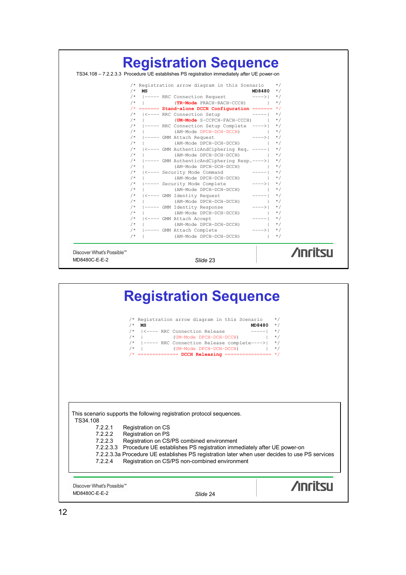

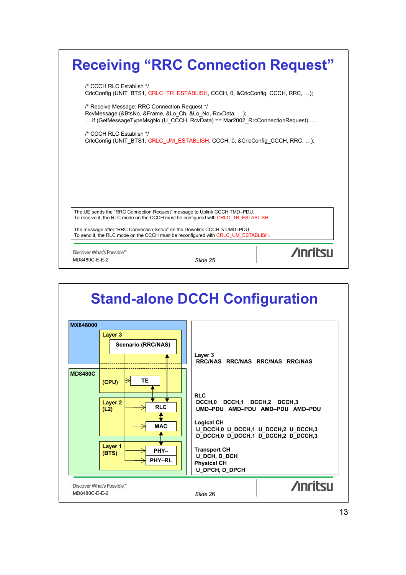| <b>Receiving "RRC Connection Request"</b>                                                                                                                                              |                |
|----------------------------------------------------------------------------------------------------------------------------------------------------------------------------------------|----------------|
| /* CCCH RLC Establish */<br>CrlcConfig (UNIT_BTS1, CRLC_TR_ESTABLISH, CCCH, 0, &CrlcConfig_CCCH, RRC, );                                                                               |                |
| /* Receive Message: RRC Connection Request */<br>RcvMessage (&BtsNo, &Frame, &Lo Ch, &Lo No, RcvData, );<br>if (GetMessageTypeMsgNo (U CCCH, RcvData) == Mar2002 RrcConnectionRequest) |                |
| /* CCCH RLC Establish */<br>CricConfig (UNIT BTS1, CRLC UM ESTABLISH, CCCH, 0, & CricConfig CCCH, RRC, );                                                                              |                |
|                                                                                                                                                                                        |                |
|                                                                                                                                                                                        |                |
| The UE sends the "RRC Connection Request" message to Uplink CCCH TMD-PDU.<br>To receive it, the RLC mode on the CCCH must be configured with CRLC TR ESTABLISH.                        |                |
| The message after "RRC Connection Setup" on the Downlink CCCH is UMD-PDU.<br>To send it, the RLC mode on the CCCH must be reconfigured with CRLC UM ESTABLISH.                         |                |
| Discover What's Possible™<br>MD8480C-E-E-2<br>Slide 25                                                                                                                                 | <b>Anritsu</b> |

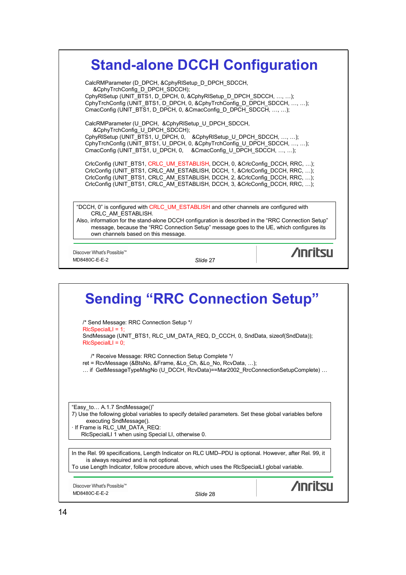| CalcRMParameter (D DPCH, &CphyRISetup D DPCH SDCCH,<br>&CphyTrchConfig_D_DPCH_SDCCH);<br>CphyRISetup (UNIT_BTS1, D_DPCH, 0, &CphyRISetup_D_DPCH_SDCCH, , ); |                                                                                                                                                                                                 |
|-------------------------------------------------------------------------------------------------------------------------------------------------------------|-------------------------------------------------------------------------------------------------------------------------------------------------------------------------------------------------|
| CmacConfig (UNIT_BTS1, D_DPCH, 0, &CmacConfig_D_DPCH_SDCCH, , );                                                                                            | CphyTrchConfig (UNIT_BTS1, D_DPCH, 0, &CphyTrchConfig_D_DPCH_SDCCH, , );                                                                                                                        |
| CalcRMParameter (U DPCH, &CphyRISetup U DPCH SDCCH,<br>&CphyTrchConfig_U_DPCH_SDCCH);                                                                       |                                                                                                                                                                                                 |
| CmacConfig (UNIT_BTS1, U_DPCH, 0, &CmacConfig_U_DPCH_SDCCH, , );                                                                                            | CphyRISetup (UNIT_BTS1, U_DPCH, 0, &CphyRISetup_U_DPCH_SDCCH, , );<br>CphyTrchConfig (UNIT_BTS1, U_DPCH, 0, &CphyTrchConfig_U_DPCH_SDCCH, , );                                                  |
|                                                                                                                                                             | CricConfig (UNIT BTS1, CRLC UM ESTABLISH, DCCH, 0, & CricConfig DCCH, RRC, );<br>CricConfig (UNIT_BTS1, CRLC_AM_ESTABLISH, DCCH, 1, &CricConfig_DCCH, RRC, );                                   |
|                                                                                                                                                             | CricConfig (UNIT_BTS1, CRLC_AM_ESTABLISH, DCCH, 2, &CricConfig_DCCH, RRC, );<br>CricConfig (UNIT BTS1, CRLC AM ESTABLISH, DCCH, 3, &CricConfig DCCH, RRC, );                                    |
| CRLC AM ESTABLISH.                                                                                                                                          | "DCCH, 0" is configured with CRLC UM ESTABLISH and other channels are configured with                                                                                                           |
| own channels based on this message.                                                                                                                         | "Also, information for the stand-alone DCCH configuration is described in the "RRC Connection Setup<br>message, because the "RRC Connection Setup" message goes to the UE, which configures its |

### **Sending "RRC Connection Setup"** /\* Send Message: RRC Connection Setup \*/ RlcSpecialLI = 1; SndMessage (UNIT\_BTS1, RLC\_UM\_DATA\_REQ, D\_CCCH, 0, SndData, sizeof(SndData)); RlcSpecialLI = 0; /\* Receive Message: RRC Connection Setup Complete \*/ ret = RcvMessage (&BtsNo, &Frame, &Lo\_Ch, &Lo\_No, RcvData, …); … if GetMessageTypeMsgNo (U\_DCCH, RcvData)==Mar2002\_RrcConnectionSetupComplete) … "Easy\_to… A.1.7 SndMessage()" 7) Use the following global variables to specify detailed parameters. Set these global variables before executing SndMessage(). · If Frame is RLC\_UM\_DATA\_REQ: RlcSpecialLI  $\overline{1}$  when using Special LI, otherwise 0. In the Rel. 99 specifications, Length Indicator on RLC UMD–PDU is optional. However, after Rel. 99, it is always required and is not optional. To use Length Indicator, follow procedure above, which uses the RlcSpecialLI global variable. **/inritsu** Discover What's Possible™ MD8480C-E-E-2 *Slide* 28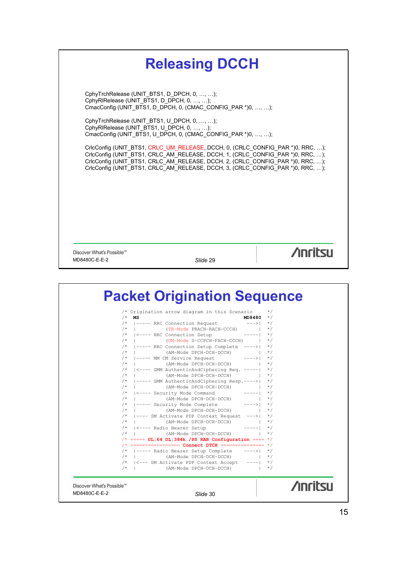

|             | /* Origination arrow diagram in this Scenario */                            |                   |           |
|-------------|-----------------------------------------------------------------------------|-------------------|-----------|
| $/*$        | MS                                                                          | $MD8480$ */       |           |
|             | /* $ -----$ RRC Connection Request --->                                     |                   | $\star/$  |
| $/$ *       | (TR-Mode PRACH-RACH-CCCH)   */                                              |                   |           |
|             | /*   <---- RRC Connection Setup -----  */                                   |                   |           |
| $/*$        | (UM-Mode S-CCPCH-FACH-CCCH)   */                                            |                   |           |
|             | /*  ----- RRC Connection Setup Complete ---->  */                           |                   |           |
|             | $/*$   (AM-Mode DPCH-DCH-DCCH) $\star/$                                     |                   |           |
|             | $/*$ $ -----$ MM CM Service Request $--->$ $*/$                             |                   |           |
|             | $/*$   (AM-Mode DPCH-DCH-DCCH) $\star/$                                     |                   |           |
|             | /*   <---- GMM AuthenticAndCiphering Reg. -----  */                         |                   |           |
| $/$ $\star$ | (AM-Mode DPCH-DCH-DCCH)   */                                                |                   |           |
|             | /*  ----- GMM AuthenticAndCiphering Resp.---->  */                          |                   |           |
| $/*$        | (AM-Mode DPCH-DCH-DCCH)  <br>$/*$ $ $ <---- Security Mode Command $--- $ */ |                   | $\star/$  |
| $/$ $\star$ | (AM-Mode DPCH-DCH-DCCH)                                                     |                   | $\star/$  |
|             | /* $ -----$ Security Mode Complete ---->  */                                |                   |           |
| $/*$        | (AM-Mode DPCH-DCH-DCCH)                                                     | $\vert + \rangle$ |           |
|             | /*  ---- SM Activate PDP Context Request --->  */                           |                   |           |
| $/$ *       | .<br>(AM-Mode DPCH-DCH-DCCH)                                                |                   | $\star$ / |
|             | /*   <---- Radio Bearer Setup                                               | $--- - -   * /$   |           |
| $/$ *       | (AM-Mode DPCH-DCH-DCCH)                                                     |                   | $\star/$  |
|             | $/*$ ===== UL:64 DL:384k /PS RAB Configuration ==== */                      |                   |           |
|             | $/*$ ================== Connect DTCH =============== */                     |                   |           |
|             | /*  ----- Radio Bearer Setup Complete ---->  */                             |                   |           |
| $/$ *       | (AM-Mode DPCH-DCH-DCCH)                                                     |                   | $\star/$  |
|             | /*   <--- SM Activate PDP Context Accept ----  */                           |                   |           |
|             | $/*$   (AM-Mode DPCH-DCH-DCCH)                                              |                   | $\star/$  |
|             |                                                                             |                   |           |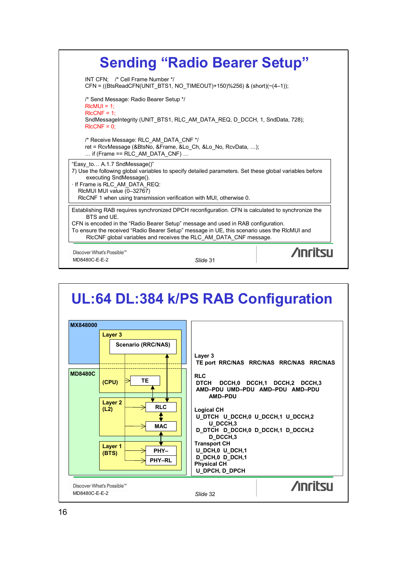

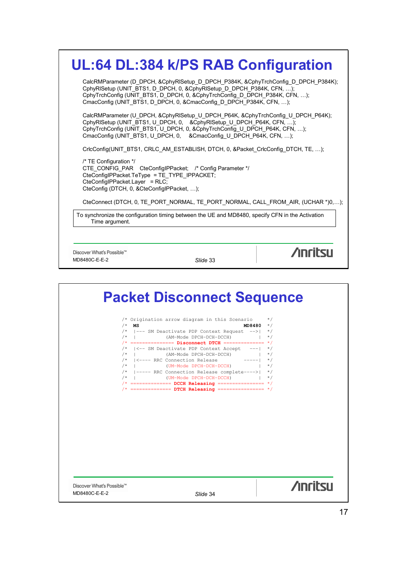|                                                                                                                                                                                                                          |          | UL:64 DL:384 k/PS RAB Configuration                                                                                                                               |
|--------------------------------------------------------------------------------------------------------------------------------------------------------------------------------------------------------------------------|----------|-------------------------------------------------------------------------------------------------------------------------------------------------------------------|
| CphyRISetup (UNIT_BTS1, D_DPCH, 0, &CphyRISetup_D_DPCH_P384K, CFN, );<br>CmacConfig (UNIT_BTS1, D_DPCH, 0, &CmacConfig_D_DPCH_P384K, CFN, );                                                                             |          | CalcRMParameter (D_DPCH, &CphyRISetup_D_DPCH_P384K, &CphyTrchConfig_D_DPCH_P384K);<br>CphyTrchConfig (UNIT_BTS1, D_DPCH, 0, &CphyTrchConfig_D_DPCH_P384K, CFN, ); |
| CphyRISetup (UNIT_BTS1, U_DPCH, 0, &CphyRISetup_U_DPCH_P64K, CFN, );<br>CphyTrchConfig (UNIT_BTS1, U_DPCH, 0, &CphyTrchConfig_U_DPCH_P64K, CFN, );<br>CmacConfig (UNIT_BTS1, U_DPCH, 0, &CmacConfig_U_DPCH_P64K, CFN, ); |          | CalcRMParameter (U DPCH, &CphyRISetup U DPCH P64K, &CphyTrchConfig U DPCH P64K);                                                                                  |
|                                                                                                                                                                                                                          |          | CricConfig(UNIT BTS1, CRLC AM ESTABLISH, DTCH, 0, &Packet CricConfig DTCH, TE, );                                                                                 |
| /* TE Configuration */<br>CTE_CONFIG_PAR    CteConfigIPPacket; /* Config Parameter */<br>CteConfigIPPacket.TeType = TE_TYPE_IPPACKET;<br>CteConfigIPPacket.Layer = RLC;<br>CteConfig (DTCH, 0, &CteConfigIPPacket, );    |          |                                                                                                                                                                   |
|                                                                                                                                                                                                                          |          | CteConnect (DTCH, 0, TE PORT NORMAL, TE PORT NORMAL, CALL FROM AIR, (UCHAR *)0,);                                                                                 |
| Time argument.                                                                                                                                                                                                           |          | To synchronize the configuration timing between the UE and MD8480, specify CFN in the Activation                                                                  |
|                                                                                                                                                                                                                          |          |                                                                                                                                                                   |
| Discover What's Possible™                                                                                                                                                                                                |          | <b>Anritsu</b>                                                                                                                                                    |
| MD8480C-E-E-2                                                                                                                                                                                                            | Slide 33 |                                                                                                                                                                   |

**Packet Disconnect Sequence** /\* Origination arrow diagram in this Scenario \*/ /\* **MS MD8480** \*/ /\* |––– SM Deactivate PDP Context Request ––>| \*/ /\* | (AM–Mode DPCH–DCH–DCCH) | \*/ /\* =============== **Disconnect DTCH** ============== \*/ /\* |<–– SM Deactivate PDP Context Accept –––| \*/ /\* | (AM–Mode DPCH–DCH–DCCH) | \*/ /\* |<–––– RRC Connection Release –––––| \*/ /\* | (UM–Mode DPCH–DCH–DCCH) | \*/ /\* |––––– RRC Connection Release complete––––>| \*/ /\* | (UM–Mode DPCH–DCH–DCCH) | \*/ /\* ============== **DCCH Releasing** ================ \*/ /\* ============== **DTCH Releasing** ================ \*/**Anritsu** Discover What's Possible™ MD8480C-E-E-2 *Slide* 34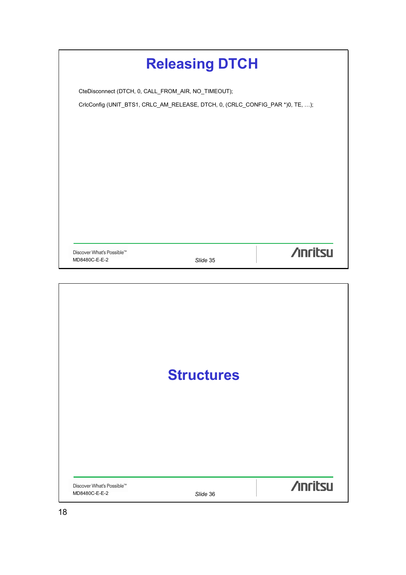|                                                     | <b>Releasing DTCH</b>                                                         |                |
|-----------------------------------------------------|-------------------------------------------------------------------------------|----------------|
| CteDisconnect (DTCH, 0, CALL_FROM_AIR, NO_TIMEOUT); |                                                                               |                |
|                                                     | CricConfig (UNIT_BTS1, CRLC_AM_RELEASE, DTCH, 0, (CRLC_CONFIG_PAR *)0, TE, ); |                |
|                                                     |                                                                               |                |
|                                                     |                                                                               |                |
|                                                     |                                                                               |                |
|                                                     |                                                                               |                |
|                                                     |                                                                               |                |
|                                                     |                                                                               |                |
|                                                     |                                                                               |                |
|                                                     |                                                                               |                |
|                                                     |                                                                               |                |
| Discover What's Possible™                           |                                                                               | <b>Anritsu</b> |
| MD8480C-E-E-2                                       | Slide 35                                                                      |                |

|                                            | <b>Structures</b> |                 |
|--------------------------------------------|-------------------|-----------------|
| Discover What's Possible™<br>MD8480C-E-E-2 | Slide 36          | <b>/inritsu</b> |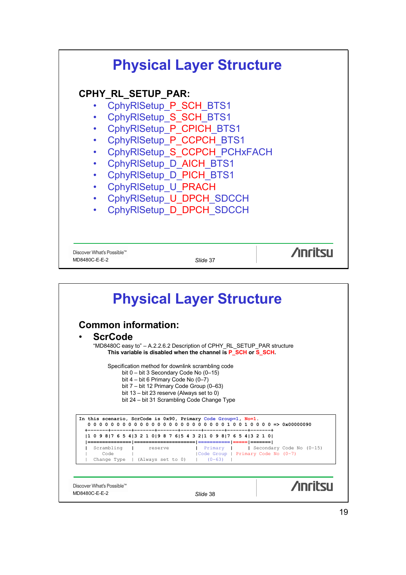

|                    | <b>Common information:</b>                                                                      |                                                                          |
|--------------------|-------------------------------------------------------------------------------------------------|--------------------------------------------------------------------------|
| <b>ScrCode</b>     |                                                                                                 |                                                                          |
|                    | This variable is disabled when the channel is P SCH or S SCH.                                   | "MD8480C easy to" - A.2.2.6.2 Description of CPHY RL SETUP PAR structure |
|                    |                                                                                                 |                                                                          |
|                    | Specification method for downlink scrambling code                                               |                                                                          |
|                    | bit $0 - \text{bit } 3$ Secondary Code No $(0-15)$<br>bit $4 - bit 6$ Primary Code No $(0 - 7)$ |                                                                          |
|                    | bit 7 - bit 12 Primary Code Group (0-63)                                                        |                                                                          |
|                    | bit 13 - bit 23 reserve (Always set to 0)<br>bit 24 – bit 31 Scrambling Code Change Type        |                                                                          |
|                    |                                                                                                 |                                                                          |
|                    | In this scenario, ScrCode is 0x90, Primary Code Group=1, No=1.                                  |                                                                          |
|                    |                                                                                                 |                                                                          |
|                    | 0 9 8   7 6 5 4   3 2 1 0   9 8 7 6   5 4 3 2   1 0 9 8   7 6 5 4   3 2 1 0                     |                                                                          |
|                    | reserve                                                                                         | Primary     Secondary Code No (0-15)                                     |
| Scrambling<br>Code |                                                                                                 | Code Group   Primary Code No (0-7)                                       |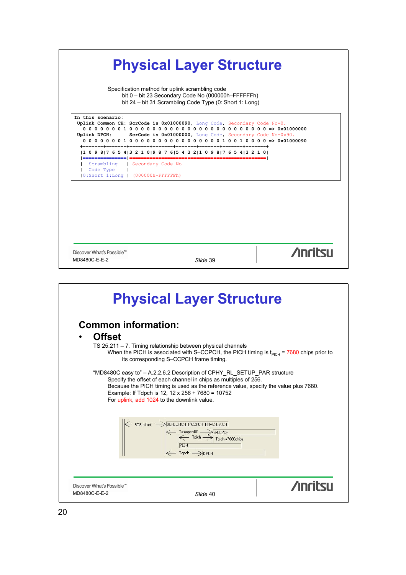

|                                                                                                                                                                                                                                                 | <b>Physical Layer Structure</b>                                                               |  |
|-------------------------------------------------------------------------------------------------------------------------------------------------------------------------------------------------------------------------------------------------|-----------------------------------------------------------------------------------------------|--|
| <b>Common information:</b>                                                                                                                                                                                                                      |                                                                                               |  |
| <b>Offset</b>                                                                                                                                                                                                                                   |                                                                                               |  |
| TS 25.211 - 7. Timing relationship between physical channels<br>its corresponding S-CCPCH frame timing.                                                                                                                                         | When the PICH is associated with S-CCPCH, the PICH timing is $t_{PICH}$ = 7680 chips prior to |  |
| "MD8480C easy to" – A.2.2.6.2 Description of CPHY RL SETUP PAR structure<br>Specify the offset of each channel in chips as multiples of 256.<br>Example: If Tdpch is 12, 12 x 256 + 7680 = 10752<br>For uplink, add 1024 to the downlink value. | Because the PICH timing is used as the reference value, specify the value plus 7680.          |  |
| SCH, CPICH, P-CCPCH, PRACH, AICH<br>$\leftarrow$ BTS offset -<br>← Ts-ccpch#0<br>- Tpich Tpich<br>- Tdpch $\rightarrow$ DPCH                                                                                                                    | $\rightarrow$ S-CCPCH<br>Tpich =7680chips                                                     |  |
| Discover What's Possible™                                                                                                                                                                                                                       | <b>Anrital</b>                                                                                |  |
| MD8480C-E-E-2                                                                                                                                                                                                                                   | Slide 40                                                                                      |  |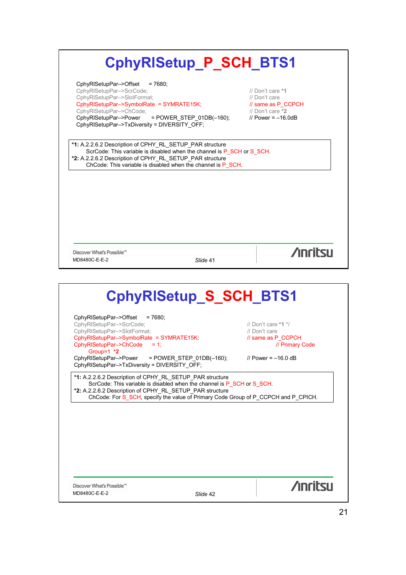| CphyRISetupPar->Offset<br>$= 7680$ :                                                                                     |                         |
|--------------------------------------------------------------------------------------------------------------------------|-------------------------|
| CphyRISetupPar->ScrCode;                                                                                                 | // Don't care *1        |
| CphyRISetupPar->SlotFormat;                                                                                              | // Don't care           |
| CphyRISetupPar->SymbolRate = SYMRATE15K;                                                                                 | // same as P CCPCH      |
| CphyRISetupPar->ChCode;                                                                                                  | // Don't care *2        |
| CphyRISetupPar->Power<br>= POWER_STEP_01DB(-160);                                                                        | // Power = $-16.0dB$    |
| CphyRISetupPar->TxDiversity = DIVERSITY_OFF;                                                                             |                         |
| *1: A.2.2.6.2 Description of CPHY_RL_SETUP_PAR structure                                                                 |                         |
| ScrCode: This variable is disabled when the channel is P SCH or S SCH.                                                   |                         |
| *2: A.2.2.6.2 Description of CPHY_RL_SETUP_PAR structure<br>ChCode: This variable is disabled when the channel is P_SCH. |                         |
|                                                                                                                          |                         |
|                                                                                                                          |                         |
|                                                                                                                          |                         |
|                                                                                                                          |                         |
|                                                                                                                          |                         |
|                                                                                                                          |                         |
|                                                                                                                          |                         |
| Discover What's Possible™                                                                                                | <b>Anritsu</b>          |
| MD8480C-E-E-2<br>Slide 41                                                                                                |                         |
|                                                                                                                          |                         |
| CphyRISetup_S_SCH_BTS1                                                                                                   |                         |
|                                                                                                                          |                         |
| CphyRISetupPar->Offset<br>$= 7680$<br>CphyRISetupPar->ScrCode;                                                           | // Don't care $*1$ $*/$ |
| CphyRISetupPar->SlotFormat;                                                                                              | // Don't care           |
| CphyRISetupPar->SymbolRate = SYMRATE15K;                                                                                 | // same as P CCPCH      |
| CphyRISetupPar->ChCode<br>$= 1$ :                                                                                        | // Primary Code         |
| Group=1 *2                                                                                                               |                         |
| = POWER_STEP_01DB(-160);<br>CphyRISetupPar->Power<br>CphyRISetupPar->TxDiversity = DIVERSITY_OFF;                        | // Power = $-16.0$ dB   |
| *1: A.2.2.6.2 Description of CPHY RL SETUP PAR structure                                                                 |                         |
| ScrCode: This variable is disabled when the channel is P_SCH or S_SCH.                                                   |                         |
| *2: A.2.2.6.2 Description of CPHY_RL_SETUP_PAR structure                                                                 |                         |
| ChCode: For S_SCH, specify the value of Primary Code Group of P_CCPCH and P_CPICH.                                       |                         |
|                                                                                                                          |                         |
|                                                                                                                          |                         |
|                                                                                                                          |                         |
|                                                                                                                          |                         |
|                                                                                                                          |                         |
|                                                                                                                          |                         |
|                                                                                                                          |                         |
| Discover What's Possible™                                                                                                | <b>Anritsu</b>          |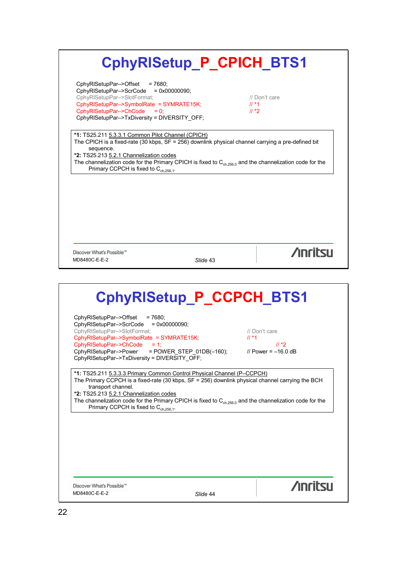| CphyRISetup_P_CPICH_BTS1 |  |  |  |
|--------------------------|--|--|--|
|--------------------------|--|--|--|

CphyRlSetupPar–>Offset = 7680; CphyRlSetupPar–>ScrCode = 0x00000090; CphyRlSetupPar–>SlotFormat; // Don't care CphyRlSetupPar->SymbolRate = SYMRATE15K; // \*1  $ChyRISetupPar->ChCode = 0;$  // \*2 CphyRlSetupPar–>TxDiversity = DIVERSITY\_OFF;

**\*1:** TS25.211 5.3.3.1 Common Pilot Channel (CPICH) The CPICH is a fixed-rate (30 kbps, SF = 256) downlink physical channel carrying a pre-defined bit sequence. **\*2:** TS25.213 5.2.1 Channelization codes The channelization code for the Primary CPICH is fixed to  $C_{ch,256,0}$  and the channelization code for the Primary CCPCH is fixed to  $C_{ch,256,1}$ .

Discover What's Possible™ MD8480C-E-E-2 *Slide* 43

**/inritsu** 

# **CphyRlSetup\_P\_CCPCH\_BTS1**

CphyRlSetupPar->Offset = 7680; CphyRlSetupPar–>ScrCode = 0x00000090; CphyRlSetupPar–>SlotFormat; // Don't care CphyRlSetupPar–>SymbolRate = SYMRATE15K;  $\frac{1}{4}$  \*1 CphyRlSetupPar–>ChCode = 1; // \*2 CphyRlSetupPar–>Power = POWER\_STEP\_01DB(–160); // Power = –16.0 dB CphyRlSetupPar–>TxDiversity = DIVERSITY\_OFF;

**\*1:** TS25.211 5.3.3.3 Primary Common Control Physical Channel (P–CCPCH) The Primary CCPCH is a fixed-rate (30 kbps, SF = 256) downlink physical channel carrying the BCH transport channel. **\*2:** TS25.213 5.2.1 Channelization codes The channelization code for the Primary CPICH is fixed to  $C_{ch,256,0}$  and the channelization code for the Primary CCPCH is fixed to  $C_{ch,256.1}$ .

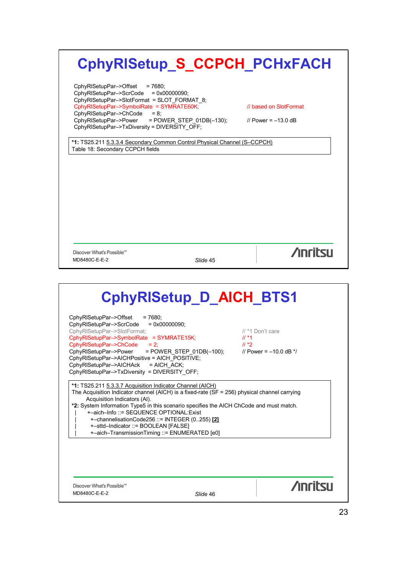# **CphyRlSetup\_S\_CCPCH\_PCHxFACH**

CphyRlSetupPar–>Offset = 7680; CphyRlSetupPar–>ScrCode = 0x00000090; CphyRlSetupPar–>SlotFormat = SLOT\_FORMAT\_8; CphyRlSetupPar–>SymbolRate = SYMRATE60K; // based on SlotFormat  $ChbyRISetupPar->ChCode = 8;$ CphyRlSetupPar–>Power = POWER\_STEP\_01DB(–130); // Power = –13.0 dB CphyRlSetupPar–>TxDiversity = DIVERSITY\_OFF;

**\*1:** TS25.211 5.3.3.4 Secondary Common Control Physical Channel (S–CCPCH) Table 18: Secondary CCPCH fields

Discover What's Possible™ MD8480C-E-E-2 *Slide* 45

**/inritsu** 

# **CphyRlSetup\_D\_AICH\_BTS1**

CphyRlSetupPar–>Offset = 7680; CphyRlSetupPar–>ScrCode = 0x00000090; CphyRlSetupPar–>SlotFormat; // \*1 Don't care CphyRlSetupPar–>SymbolRate = SYMRATE15K;<br>CphyRlSetupPar–>ChCode = 2;<br>// \*2 CphyRISetupPar–>ChCode = 2;<br>CphyRISetupPar–>Power = POWER STEP 01DB(-100); // Power = -10 0 dB \*/  $CphyRISetupPar->Power$  = POWER STEP 01DB(-100); CphyRlSetupPar–>AICHPositive = AICH\_POSITIVE; CphyRlSetupPar–>AICHAck = AICH\_ACK; CphyRlSetupPar–>TxDiversity = DIVERSITY\_OFF;

**\*1:** TS25.211 5.3.3.7 Acquisition Indicator Channel (AICH) The Acquisition Indicator channel (AICH) is a fixed-rate (SF = 256) physical channel carrying Acquisition Indicators (AI). **\*2:** System Information Type5 in this scenario specifies the AICH ChCode and must match. | +–aich–Info ::= SEQUENCE OPTIONAL:Exist | +–channelisationCode256 ::= INTEGER (0..255) **[2]** | +–sttd–Indicator ::= BOOLEAN [FALSE] | +–aich–TransmissionTiming ::= ENUMERATED [e0]

Discover What's Possible<sup>™</sup> MD8480C-E-E-2 *Slide* 46

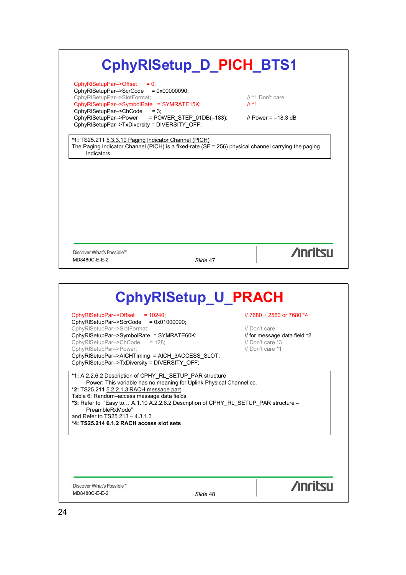| CphyRISetup_D_PICH_BTS1                                                                                 |                              |
|---------------------------------------------------------------------------------------------------------|------------------------------|
| CphyRISetupPar->Offset<br>$= 0$ ;                                                                       |                              |
| CphyRISetupPar->ScrCode<br>$= 0x00000090$                                                               |                              |
| CphyRISetupPar->SlotFormat;                                                                             | // *1 Don't care<br>$11 * 1$ |
| CphyRISetupPar->SymbolRate = SYMRATE15K;<br>CphyRISetupPar->ChCode<br>$= 3:$                            |                              |
| CphyRISetupPar->Power<br>$=$ POWER STEP 01DB( $-183$ );                                                 | // Power = $-18.3$ dB        |
| CphyRISetupPar->TxDiversity = DIVERSITY_OFF;                                                            |                              |
| *1: TS25.211 5.3.3.10 Paging Indicator Channel (PICH)                                                   |                              |
| The Paging Indicator Channel (PICH) is a fixed-rate ( $SF = 256$ ) physical channel carrying the paging |                              |
| indicators.                                                                                             |                              |
|                                                                                                         |                              |
|                                                                                                         |                              |
|                                                                                                         |                              |
|                                                                                                         |                              |
|                                                                                                         |                              |
|                                                                                                         |                              |
|                                                                                                         |                              |
|                                                                                                         |                              |
|                                                                                                         |                              |
|                                                                                                         |                              |
|                                                                                                         |                              |
|                                                                                                         |                              |
|                                                                                                         |                              |
|                                                                                                         |                              |
| Discover What's Possible™                                                                               |                              |
| MD8480C-E-E-2<br>Slide 47                                                                               | <b>Anritsu</b>               |
|                                                                                                         |                              |
|                                                                                                         |                              |
|                                                                                                         |                              |
| <b>CphyRISetup_U_PRACH</b>                                                                              |                              |
|                                                                                                         | // 7680 + 2560 or 7680 *4    |
| CphyRISetupPar->Offset<br>$= 10240;$<br>CphyRISetupPar->ScrCode<br>$= 0x01000090$ ;                     |                              |
| CphyRISetupPar->SlotFormat;                                                                             | // Don't care                |
|                                                                                                         | // for message data field *2 |
| CphyRISetupPar->SymbolRate = SYMRATE60K;<br>CphyRISetupPar->ChCode<br>$= 128$ :                         | // Don't care *3             |
| CphyRISetupPar->Power;                                                                                  | // Don't care *1             |
| CphyRISetupPar->AICHTiming = AICH_3ACCESS_SLOT;<br>CphyRISetupPar->TxDiversity = DIVERSITY_OFF;         |                              |

**\*2:** TS25.211 5.2.2.1.3 RACH message part Table 6: Random–access message data fields

**\*3:** Refer to "Easy to… A.1.10 A.2.2.6.2 Description of CPHY\_RL\_SETUP\_PAR structure – PreambleRxMode"

and Refer to TS25.213 – 4.3.1.3

**\*4: TS25.214 6.1.2 RACH access slot sets**

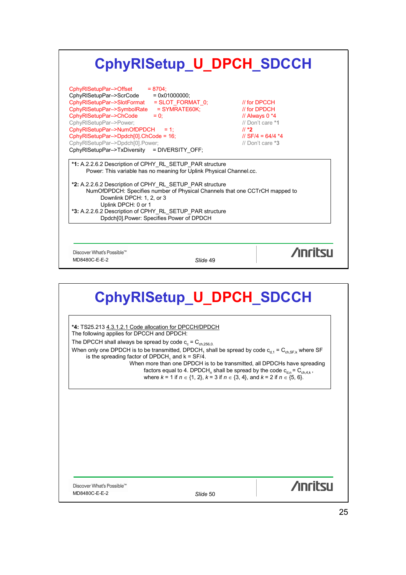

## **CphyRlSetup\_U\_DPCH\_SDCCH**

**\*4:** TS25.213 4.3.1.2.1 Code allocation for DPCCH/DPDCH The following applies for DPCCH and DPDCH: The DPCCH shall always be spread by code  $c_c = C_{ch,256,0.}$ When only one DPDCH is to be transmitted, DPDCH<sub>1</sub> shall be spread by code  $c_{d,1} = C_{ch, SF, k}$  where SF is the spreading factor of DPDCH, and  $k = SF/4$ . When more than one DPDCH is to be transmitted, all DPDCHs have spreading factors equal to 4. DPDCH<sub>n</sub> shall be spread by the code  $c_{d,n} = C_{ch,4,k}$ , where  $k = 1$  if  $n \in \{1, 2\}$ ,  $k = 3$  if  $n \in \{3, 4\}$ , and  $k = 2$  if  $n \in \{5, 6\}$ .

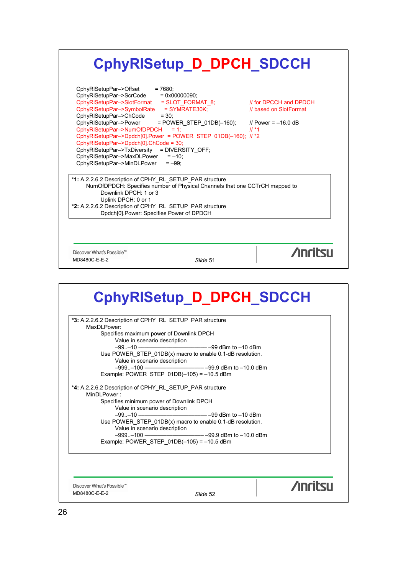## **CphyRlSetup\_D\_DPCH\_SDCCH**

| *2: A.2.2.6.2 Description of CPHY RL SETUP PAR structure |  |
|----------------------------------------------------------|--|
| Dpdch[0].Power: Specifies Power of DPDCH                 |  |
|                                                          |  |

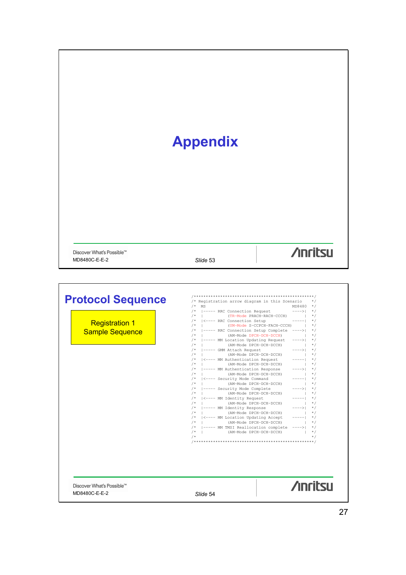| <b>Appendix</b>                                                             |                                                                                                                                                                                                                                                                                                                                                                                                                                                                                                                                                                                                                                                                                                                                                                                                                                                                                                                                                                                                                                                                                                               |                                                                                                                                                                                                                                                                                                                                                                                                                                                                                                                                                                                                                                                                                                                                                                                                                                                                                                                     |  |
|-----------------------------------------------------------------------------|---------------------------------------------------------------------------------------------------------------------------------------------------------------------------------------------------------------------------------------------------------------------------------------------------------------------------------------------------------------------------------------------------------------------------------------------------------------------------------------------------------------------------------------------------------------------------------------------------------------------------------------------------------------------------------------------------------------------------------------------------------------------------------------------------------------------------------------------------------------------------------------------------------------------------------------------------------------------------------------------------------------------------------------------------------------------------------------------------------------|---------------------------------------------------------------------------------------------------------------------------------------------------------------------------------------------------------------------------------------------------------------------------------------------------------------------------------------------------------------------------------------------------------------------------------------------------------------------------------------------------------------------------------------------------------------------------------------------------------------------------------------------------------------------------------------------------------------------------------------------------------------------------------------------------------------------------------------------------------------------------------------------------------------------|--|
| Discover What's Possible™<br>MD8480C-E-E-2                                  | Slide 53                                                                                                                                                                                                                                                                                                                                                                                                                                                                                                                                                                                                                                                                                                                                                                                                                                                                                                                                                                                                                                                                                                      | <b>Anritsu</b>                                                                                                                                                                                                                                                                                                                                                                                                                                                                                                                                                                                                                                                                                                                                                                                                                                                                                                      |  |
| <b>Protocol Sequence</b><br><b>Registration 1</b><br><b>Sample Sequence</b> | /* Registration arrow diagram in this Scenario<br>$/*$ MS<br>/*  ----- RRC Connection Request ---->  */<br>/*   (TR-Mode PRACH-RACH-CCCH) $\vert$ */<br>/*   <---- RRC Connection Setup<br>/*   (UM-Mode S-CCPCH-FACH-CCCH)   */<br>/*  ----- RRC Connection Setup Complete ---->  */<br>/*   (AM-Mode DPCH-DCH-DCCH)<br>/*  ----- MM Location Updating Request ---->  */<br>.<br>(AM-Mode DPCH-DCH-DCCH)<br>$/$ *<br>$/$ *<br> ----- GMM Attach Request<br>$/$ *  <br>(AM-Mode DPCH-DCH-DCCH)<br>/*<br>  <---- MM Authentication Request<br>  (AM-Mode DPCH-DCH-DCCH)<br>$/$ *<br>/*  ----- MM Authentication Response<br>/*   (AM-Mode DPCH-DCH-DCCH)<br>/*  <---- Security Mode Command<br>/*   (AM-Mode DPCH-DCH-DCCH)<br>/*  ----- Security Mode Complete<br>/*   (AM-Mode DPCH-DCH-DCCH)<br>/*   <---- MM Identity Request<br>/*   (AM-Mode DPCH-DCH-DCCH)<br>/*  ----- MM Identity Response<br>/*   (AM-Mode DPCH-DCH-DCCH)<br>/*   <---- MM Location Updating Accept<br>/*   (AM-Mode DPCH-DCH-DCCH)<br>/*  ----- MM TMSI Reallocation complete ----> <br>  (AM-Mode DPCH-DCH-DCCH)<br>$/$ *<br>$/$ * | $\star/$<br>$MD8480$ */<br>$\star/$<br>$--- - - 1$<br>$\overline{\phantom{a}}$ $\overline{\phantom{a}}$ $\overline{\phantom{a}}$ $\overline{\phantom{a}}$ $\overline{\phantom{a}}$ $\overline{\phantom{a}}$ $\overline{\phantom{a}}$ $\overline{\phantom{a}}$ $\overline{\phantom{a}}$ $\overline{\phantom{a}}$ $\overline{\phantom{a}}$ $\overline{\phantom{a}}$ $\overline{\phantom{a}}$ $\overline{\phantom{a}}$ $\overline{\phantom{a}}$ $\overline{\phantom{a}}$ $\overline{\phantom{a}}$ $\overline{\phantom{a}}$ $\overline{\$<br>$\star/$<br>---> <br>$\star/$<br>$\vert + \rangle$<br>$\vert \quad \star/$<br>$----> $ */<br><b>Contract</b><br>$^*/$<br>-----  */<br>$\vert + \rangle$<br>---->  */<br>$\vert + \rangle$ + /<br>----- <br>$^*/$<br>$\sim 100$<br>$\star$ /<br>---->  */<br>$\vert \quad \star/$<br>$--- - -  $<br>$*$<br>$\sim 100$<br>$\star/$<br>$\star/$<br>$\vert + \rangle$<br>$*$ / |  |

MD8480C-E-E-2 *Slide* 54

Discover What's Possible™

**/inritsu**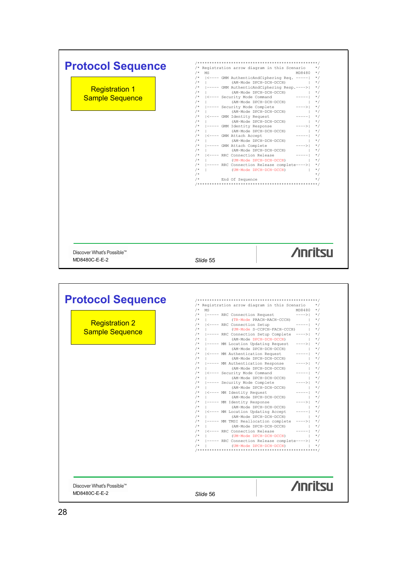|                                                                        | $/$ *<br>(AM-Mode DPCH-DCH-DCCH)<br>$/$ *<br> <---- MM Identity Request<br>(AM-Mode DPCH-DCH-DCCH)<br>$/$ *<br>$/$ *<br> ----- MM Identity Response<br>  (AM-Mode DPCH-DCH-DCCH)<br>$/$ *<br>/*   <---- MM Location Updating Accept<br>$/$ *<br>  (AM-Mode DPCH-DCH-DCCH)<br>$/$ *<br> ----- MM TMSI Reallocation complete<br>$/$ *<br>  (AM-Mode DPCH-DCH-DCCH)<br>/*   <---- RRC Connection Release<br>/*   (UM-Mode DPCH-DCH-DCCH)<br>/*  ----- RRC Connection Release complete---->  */<br>  (UM-Mode DPCH-DCH-DCCH)   */<br>$/$ *                                                                                                                                                                                                                                                                                                                                                                                                                                                                                                   | $\vert + \rangle$ + /<br>$*$ /<br>----- 1<br>$\vert + \rangle$ */<br>---->  */<br><b>Controller</b><br>$*$ /<br>$*$<br>$--- - -  $<br>$\star/$<br><b>Contract Contract</b><br>$\star/$<br>----> <br>$\sim$ 100 $\pm$<br>$*$ /<br>------ * /<br>$\vert + \rangle$                                                                                                                                                                                              |
|------------------------------------------------------------------------|------------------------------------------------------------------------------------------------------------------------------------------------------------------------------------------------------------------------------------------------------------------------------------------------------------------------------------------------------------------------------------------------------------------------------------------------------------------------------------------------------------------------------------------------------------------------------------------------------------------------------------------------------------------------------------------------------------------------------------------------------------------------------------------------------------------------------------------------------------------------------------------------------------------------------------------------------------------------------------------------------------------------------------------|---------------------------------------------------------------------------------------------------------------------------------------------------------------------------------------------------------------------------------------------------------------------------------------------------------------------------------------------------------------------------------------------------------------------------------------------------------------|
| <b>Registration 2</b><br><b>Sample Sequence</b>                        | /* Registration arrow diagram in this Scenario */<br>$/*$ MS<br> ----- RRC Connection Request ---->  */<br>$/\star$<br>$/*$   (TR-Mode PRACH-RACH-CCCH)   */<br>/*   <---- RRC Connection Setup<br>/*   (UM-Mode S-CCPCH-FACH-CCCH)   */<br>/*  ----- RRC Connection Setup Complete ---->  */<br>$\hspace{1.6cm} \hspace{1.5cm} \hspace{1.5cm} \hspace{1.5cm} \hspace{1.5cm} \hspace{1.5cm} \hspace{1.5cm} \hspace{1.5cm} \hspace{1.5cm} \hspace{1.5cm} \hspace{1.5cm} \hspace{1.5cm} \hspace{1.5cm} \hspace{1.5cm} \hspace{1.5cm} \hspace{1.5cm} \hspace{1.5cm} \hspace{1.5cm} \hspace{1.5cm} \hspace{1.5cm} \hspace{1.5cm} \hspace{1.5cm} \hspace{1.5cm} \hspace{1.5cm} \hspace{$<br>$/$ *<br>----- MM Location Updating Request<br>/*   (AM-Mode DPCH-DCH-DCCH)   */<br>$/$ *<br> <---- MM Authentication Request<br>(AM-Mode DPCH-DCH-DCCH)<br>/*  ----- MM Authentication Response<br>/*<br>(AM-Mode DPCH-DCH-DCCH)<br>/*  <---- Security Mode Command<br>$/$ *<br>(AM-Mode DPCH-DCH-DCCH)<br>$/$ *<br>----- Security Mode Complete | $MD8480$ */<br>$--- - -   * /$<br>---->  */<br>$--- - -   * /$<br>$\mathbf{x}$<br>---->  */<br>$\frac{1}{2}$ $\frac{1}{2}$ $\frac{1}{2}$ $\frac{1}{2}$ $\frac{1}{2}$ $\frac{1}{2}$ $\frac{1}{2}$ $\frac{1}{2}$ $\frac{1}{2}$ $\frac{1}{2}$ $\frac{1}{2}$ $\frac{1}{2}$ $\frac{1}{2}$ $\frac{1}{2}$ $\frac{1}{2}$ $\frac{1}{2}$ $\frac{1}{2}$ $\frac{1}{2}$ $\frac{1}{2}$ $\frac{1}{2}$ $\frac{1}{2}$ $\frac{1}{2}$<br>$*$ /<br>$\frac{1}{2}$ + /<br>---->  */ |
| Discover What's Possible™<br>MD8480C-E-E-2<br><b>Protocol Sequence</b> | Slide 55                                                                                                                                                                                                                                                                                                                                                                                                                                                                                                                                                                                                                                                                                                                                                                                                                                                                                                                                                                                                                                 | <b>Anritsu</b>                                                                                                                                                                                                                                                                                                                                                                                                                                                |
|                                                                        | /*   (AM-Mode DPCH-DCH-DCCH) $\vert$ */<br>/*   <---- Security Mode Command<br>  (AM-Mode DPCH-DCH-DCCH)   */<br>$/\star$<br>/*  ----- Security Mode Complete<br>/*   (AM-Mode DPCH-DCH-DCCH)<br>/*   <---- GMM Identity Request<br>$/*$   (AM-Mode DPCH-DCH-DCCH)<br>/*  ----- GMM Identity Response<br>/*  ----- Grand Lucilluty Response //<br>/*   (AM-Mode DPCH-DCH-DCCH)   */<br>/*   <---- GMM Attach Accept<br>/*   (AM-Mode DPCH-DCH-DCCH)<br>/*  ----- GMM Attach Complete<br>/*   (AM-Mode DPCH-DCH-DCCH)   */<br>/*   <---- RRC Connection Release<br>$/*$   (UM-Mode DPCH-DCH-DCCH) $*/$<br>/*  ----- RRC Connection Release complete---->  */<br>/*   (UM-Mode DPCH-DCH-DCCH)   */<br>$/$ *<br>End Of Sequence<br>$/$ *                                                                                                                                                                                                                                                                                                    | /*   (AM-Mode DPCH-DCH-DCCH)   */<br>/* ----- GMM AuthenticAndCiphering Resp.---->  *<br>---->  */<br>$\vert + \rangle$ + /<br>-----  */<br>$\vert + \rangle$<br>---->  */<br>$\vert + \rangle$ * /<br>$\scriptstyle{---}{-}{-}{\scriptstyle{>}}$   * /<br>$--- -   * /$<br>$*$ /<br>$\star/$                                                                                                                                                                 |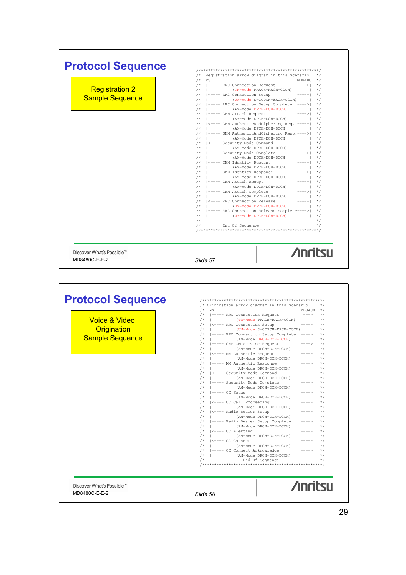| <b>Protocol Sequence</b>  |                                                                                                                                                    |
|---------------------------|----------------------------------------------------------------------------------------------------------------------------------------------------|
|                           | /* Registration arrow diagram in this Scenario */                                                                                                  |
|                           |                                                                                                                                                    |
| <b>Registration 2</b>     | /*   (TR-Mode PRACH-RACH-CCCH)   */                                                                                                                |
|                           | /*   <---- RRC Connection Setup -----  */                                                                                                          |
| <b>Sample Sequence</b>    | /*   (UM-Mode S-CCPCH-FACH-CCCH)   */                                                                                                              |
|                           | /*  ----- RRC Connection Setup Complete ---->  */                                                                                                  |
|                           | $/*$   (AM-Mode DPCH-DCH-DCCH)   */                                                                                                                |
|                           | /*  ----- GMM Attach Request<br>$---> $ */                                                                                                         |
|                           | /*   $(AM-Mode DPCH-DCCH)$   */                                                                                                                    |
|                           | /*   <---- GMM AuthenticAndCiphering Req. -----  */<br>/*   (AM-Mode DPCH-DCH-DCCH)   */                                                           |
|                           | /*  ----- GMM AuthenticAndCiphering Resp.---->  */                                                                                                 |
|                           | $/*$   (AM-Mode DPCH-DCH-DCCH)   */                                                                                                                |
|                           | /*   <---- Security Mode Command<br>$--- - - - - - +$                                                                                              |
|                           | $\vert + \rangle$ $\star$ /<br>/*   (AM-Mode DPCH-DCH-DCCH)                                                                                        |
|                           |                                                                                                                                                    |
|                           | /*  ----- Security Mode Complete<br>/*   (AM-Mode DPCH-DCH-DCCH)   */<br>` ` ` ` Pompat   _____  */                                                |
|                           | /*   <---- GMM Identity Request<br>$/*$   (AM-Mode DPCH-DCH-DCCH)   */                                                                             |
|                           | /*  ----- GMM Identity Response<br>$---2$ */                                                                                                       |
|                           | $\begin{array}{c c} & & \star/ \\ \hline & & \\ \hline & & \star/ \end{array}$<br>/*   (AM-Mode DPCH-DCH-DCCH)                                     |
|                           | /*   <---- GMM Attach Accept                                                                                                                       |
|                           | /*   (AM-Mode DPCH-DCH-DCCH)<br>$\vert$ $\vert$ $\star$ /                                                                                          |
|                           | /*  ----- GMM Attach Complete<br>$----> $ */<br>/*   (AM-Mode DPCH-DCH-DCCH)                                                                       |
|                           | $\vert + \rangle$ + /<br>/*   <---- RRC Connection Release                                                                                         |
|                           | /*   (UM-Mode DPCH-DCH-DCCH)   */                                                                                                                  |
|                           | /*  ----- RRC Connection Release complete---->  */                                                                                                 |
|                           | $/*$   (UM-Mode DPCH-DCH-DCCH)   */                                                                                                                |
|                           | $/*$<br>$\star/$<br>End Of Sequence                                                                                                                |
| Discover What's Possible™ | <b>Anritsu</b>                                                                                                                                     |
|                           |                                                                                                                                                    |
| MD8480C-E-E-2             | Slide 57                                                                                                                                           |
|                           |                                                                                                                                                    |
| <b>Protocol Sequence</b>  | /* Origination arrow diagram in this Scenario */                                                                                                   |
|                           |                                                                                                                                                    |
|                           | /* MS<br>MD8480 */<br>/*  ----- RRC Connection Request<br>--->  */                                                                                 |
| <b>Voice &amp; Video</b>  | $/*$   (TR-Mode PRACH-RACH-CCCH) $\star/$                                                                                                          |
|                           | $/*$ $ $ <---- RRC Connection Setup -----  */                                                                                                      |
| Origination               | $/*$   (UM-Mode S-CCPCH-FACH-CCCH)   */<br>/*  ----- RRC Connection Setup Complete ---->  */                                                       |
| <b>Sample Sequence</b>    | $/*$   (AM-Mode DPCH-DCH-DCCH)   */                                                                                                                |
|                           | /*  ----- GMM CM Service Request<br>$---> $ */                                                                                                     |
|                           | /*   (AM-Mode DPCH-DCH-DCCH)<br>$\vert + \rangle$                                                                                                  |
|                           | /*   <---- MM Authentic Request<br>$--- - -   * /$                                                                                                 |
|                           | (AM-Mode DPCH-DCH-DCCH)<br>$\sim$ 1.<br>$\mathcal{L}$                                                                                              |
|                           | $/$ *<br> ----- MM Authentic Response<br>-->  */                                                                                                   |
|                           | /*   (AM-Mode DPCH-DCH-DCCH)<br>$\vert$ */<br>/*   <---- Security Mode Command<br>$\star$ /<br>----                                                |
|                           | $/$ *<br>  (AM-Mode DPCH-DCH-DCCH)<br>$\sim$ 1.<br>$*$ /                                                                                           |
|                           | $/$ *<br> ----- Security Mode Complete<br>---> <br>$*$                                                                                             |
|                           | (AM-Mode DPCH-DCH-DCCH)<br>$/$ *<br>$\sim$ 1<br>$^*/$                                                                                              |
|                           | $/$ *<br>$ ----- CC$ Setup<br>----> <br>$\star$ /                                                                                                  |
|                           | (AM-Mode DPCH-DCH-DCCH)<br>$/$ *<br>$\sim$ 1.1<br>$\star/$<br>$\mathbf{1}$                                                                         |
|                           | $/$ *<br>  <---- CC Call Proceeding<br>---- <br>/*   (AM-Mode DPCH-DCH-DCCH)<br>$\sim$ 1.                                                          |
|                           | $\star$ /<br>$\star$ /<br>$/$ *<br>  <---- Radio Bearer Setup<br>$*$<br>---- <br>$\vert$ $\vert$ $\vert$ $\star$ /<br>/*   (AM-Mode DPCH-DCH-DCCH) |

/\* | (AM–Mode DPCH–DCH–DCCH) | \*/ /\* |––––– Radio Bearer Setup Complete ––––>| \*/ /\* | (AM–Mode DPCH–DCH–DCCH) | \*/ /\* |<–––– CC Alerting –––––| \*/ /\* | (AM–Mode DPCH–DCH–DCCH) | \*/ /\* |<–––– CC Connect –––––| \*/ /\* | (AM–Mode DPCH–DCH–DCCH) | \*/ /\* |––––– CC Connect Acknowledge ––––>| \*/ /\* | (AM–Mode DPCH–DCH–DCCH) | \*/ /\* End Of Sequence \*/ /\*\*\*\*\*\*\*\*\*\*\*\*\*\*\*\*\*\*\*\*\*\*\*\*\*\*\*\*\*\*\*\*\*\*\*\*\*\*\*\*\*\*\*\*\*\*\*\*\*\*/

Discover What's Possible™ MD8480C-E-E-2 *Slide* 58

**/inritsu**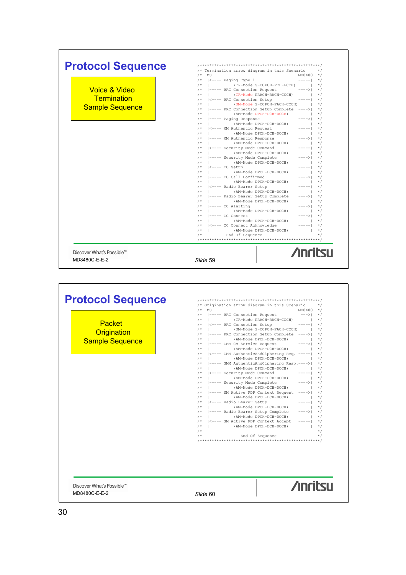| <b>Protocol Sequence</b>  |                                                                                                            |
|---------------------------|------------------------------------------------------------------------------------------------------------|
|                           | /* Termination arrow diagram in this Scenario<br>$*$ /                                                     |
|                           | MS<br>MD8480 */                                                                                            |
|                           | $\vert$ <---- Paging Type 1<br>$/$ *<br>$----- 1 * 1$                                                      |
|                           | (TR-Mode S-CCPCH-PCH-PCCH)   */<br>$/$ *                                                                   |
| Voice & Video             | ----- RRC Connection Request<br>$---> $ */                                                                 |
| Termination               | $/$ *<br>  (TR-Mode PRACH-RACH-CCCH)   */                                                                  |
|                           | /*   <---- RRC Connection Setup<br>$- - - - - 1$<br>$*$ /                                                  |
| <b>Sample Sequence</b>    | $/$ *<br>  (UM-Mode S-CCPCH-FACH-CCCH)   */                                                                |
|                           | /*  ----- RRC Connection Setup Complete ---->  */                                                          |
|                           | /*   (AM-Mode DPCH-DCH-DCCH)<br>$\vert$ $\star$ /                                                          |
|                           | /*  ----- Paging Response<br>$---> $ */                                                                    |
|                           | /*   (AM-Mode DPCH-DCH-DCCH)<br>$\vert$ $\vert$ $\star$ /                                                  |
|                           | /*   <---- MM Authentic Request<br>$--- - - 1 * 1$                                                         |
|                           | /*   (AM-Mode DPCH-DCH-DCCH)<br>$\vert$ $\star$ /                                                          |
|                           | /*  ----- MM Authentic Response<br>$---> $ */                                                              |
|                           | /*   (AM-Mode DPCH-DCH-DCCH)<br>$*$ /<br>and the first                                                     |
|                           | /*  <---- Security Mode Command<br>$-----1$ */                                                             |
|                           | /*   (AM-Mode DPCH-DCH-DCCH)<br><b>Contract Contract</b><br>$\star$ /                                      |
|                           | /*  ----- Security Mode Complete<br>$---> $ */                                                             |
|                           | $/*$<br>(AM-Mode DPCH-DCH-DCCH)<br>$\star/$<br><b>Contract Contract Contract</b>                           |
|                           | /*   <---- CC Setup<br>-----  */                                                                           |
|                           | $/$ *<br>(AM-Mode DPCH-DCH-DCCH)<br>$\vert$ $\vert$ $\star$ /                                              |
|                           | /*  ----- CC Call Comfirmed<br>$---> $ */                                                                  |
|                           | (AM-Mode DPCH-DCH-DCCH)<br>$\vert$ $\star$ /<br>$/$ *                                                      |
|                           | -----  */                                                                                                  |
|                           | /*   <---- Radio Bearer Setup                                                                              |
|                           | /*   (AM-Mode DPCH-DCH-DCCH)<br>$\vert$ $\star$ /                                                          |
|                           | /*  ----- Radio Bearer Setup Complete<br>$---> $ */                                                        |
|                           | /*   (AM-Mode DPCH-DCH-DCCH)<br>$\vert$ $\star$ /                                                          |
|                           | /* I----- CC Alerting<br>---->  */                                                                         |
|                           | $/$ $+$ $ -$<br>(AM-Mode DPCH-DCH-DCCH)<br>$\vert$ $\star$ /                                               |
|                           | /* 1----- CC Connect<br>$---> $ */                                                                         |
|                           | /*   (AM-Mode DPCH-DCH-DCCH)<br>$\vert$ $\vert$ $\star$ /                                                  |
|                           | /*  <---- CC Connect Acknowledge                                                                           |
|                           | (AM-Mode DPCH-DCH-DCCH)<br>$/*$  <br>$\frac{1}{2}$ $\frac{1}{2}$ $\frac{1}{2}$ $\frac{1}{2}$ $\frac{1}{2}$ |
|                           | End Of Sequence<br>$\star/$                                                                                |
|                           |                                                                                                            |
| Discover What's Possible™ | <b>Anritsu</b>                                                                                             |
|                           |                                                                                                            |
| MD8480C-E-E-2             | Slide 59                                                                                                   |
|                           |                                                                                                            |
|                           |                                                                                                            |
|                           |                                                                                                            |
|                           |                                                                                                            |
| <b>Protocol Sequence</b>  |                                                                                                            |

Packet **Origination** Sample Sequence



Discover What's Possible™ MD8480C-E-E-2 *Slide* 60



Т